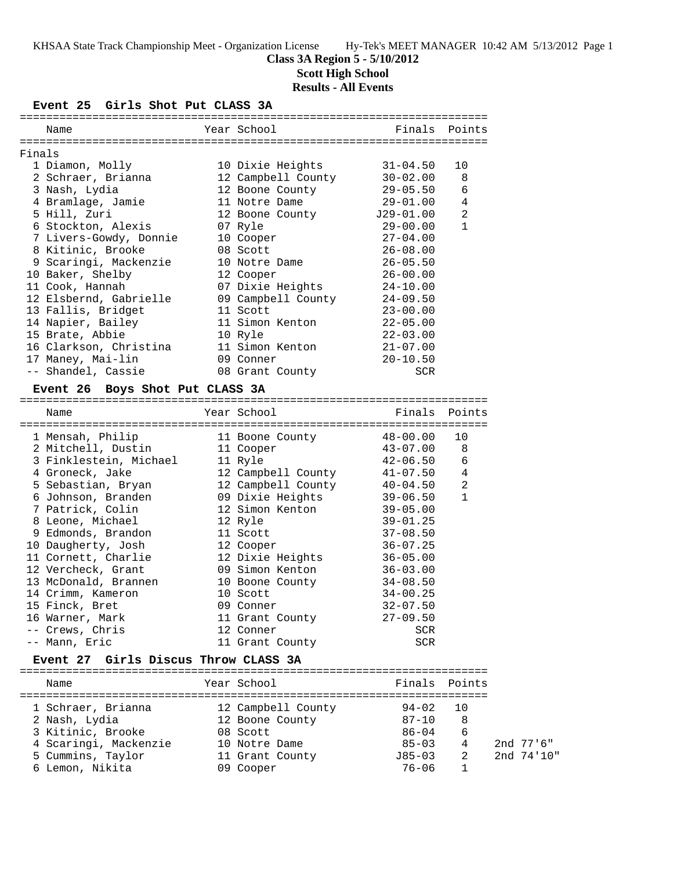## **Class 3A Region 5 - 5/10/2012 Scott High School Results - All Events**

### **Event 25 Girls Shot Put CLASS 3A**

| ================================== |                                 |  |                             |              |                |
|------------------------------------|---------------------------------|--|-----------------------------|--------------|----------------|
|                                    | Name                            |  | Year School                 | Finals       | Points         |
| Finals                             |                                 |  |                             |              |                |
|                                    | 1 Diamon, Molly                 |  | 10 Dixie Heights            | $31 - 04.50$ | 10             |
|                                    | 2 Schraer, Brianna              |  | 12 Campbell County          | $30 - 02.00$ | 8              |
|                                    | 3 Nash, Lydia                   |  | 12 Boone County 29-05.50    |              | 6              |
|                                    | 4 Bramlage, Jamie               |  | 11 Notre Dame               | $29 - 01.00$ | 4              |
|                                    | 5 Hill, Zuri                    |  | 12 Boone County             | $J29-01.00$  | $\overline{a}$ |
|                                    | 6 Stockton, Alexis              |  | 07 Ryle                     | $29 - 00.00$ | $\mathbf{1}$   |
|                                    | 7 Livers-Gowdy, Donnie          |  | 10 Cooper                   | $27 - 04.00$ |                |
|                                    | 8 Kitinic, Brooke               |  | 08 Scott                    | $26 - 08.00$ |                |
|                                    | 9 Scaringi, Mackenzie           |  | 10 Notre Dame               | $26 - 05.50$ |                |
|                                    | 10 Baker, Shelby                |  | 12 Cooper                   | $26 - 00.00$ |                |
|                                    | 11 Cook, Hannah                 |  | 07 Dixie Heights            | $24 - 10.00$ |                |
|                                    | 12 Elsbernd, Gabrielle          |  | 09 Campbell County          | $24 - 09.50$ |                |
|                                    | 13 Fallis, Bridget              |  | 11 Scott                    | $23 - 00.00$ |                |
|                                    | 14 Napier, Bailey               |  | 11 Simon Kenton             | $22 - 05.00$ |                |
|                                    | 15 Brate, Abbie                 |  | 10 Ryle                     | $22 - 03.00$ |                |
|                                    | 16 Clarkson, Christina          |  | 11 Simon Kenton             | $21 - 07.00$ |                |
|                                    | 17 Maney, Mai-lin               |  | 09 Conner                   | $20 - 10.50$ |                |
|                                    | -- Shandel, Cassie              |  | 08 Grant County             | <b>SCR</b>   |                |
|                                    | Event 26 Boys Shot Put CLASS 3A |  |                             |              |                |
|                                    | Name                            |  | Year School                 | Finals       | Points         |
|                                    |                                 |  |                             |              |                |
|                                    | 1 Mensah, Philip                |  | 11 Boone County             | $48 - 00.00$ | 10             |
|                                    | 2 Mitchell, Dustin              |  | 11 Cooper                   | $43 - 07.00$ | 8              |
|                                    | 3 Finklestein, Michael          |  | 11 Ryle                     | 42-06.50     | 6              |
|                                    | 4 Groneck, Jake                 |  | 12 Campbell County 41-07.50 |              | 4              |
|                                    | 5 Sebastian, Bryan              |  | 12 Campbell County          | $40 - 04.50$ | $\overline{2}$ |

| Event 27 Girls Discus Throw CLASS 3A |                    |                                          |  |
|--------------------------------------|--------------------|------------------------------------------|--|
| Name                                 | Year School        | Finals Points                            |  |
| 1 Schraer, Brianna                   | 12 Campbell County | $94 - 02$ 10                             |  |
| 2 Nash, Lydia                        | 12 Boone County    | $87 - 10$<br>8                           |  |
| 3 Kitinic, Brooke                    | 08 Scott           | $86 - 04$<br>6                           |  |
| 4 Scaringi, Mackenzie                | 10 Notre Dame      | $85 - 03$<br>2nd 77'6"<br>$\overline{4}$ |  |

6 Lemon, Nikita 09 Cooper 76-06 1

5 Cummins, Taylor 11 Grant County J85-03 2 2nd 74'10"

 6 Johnson, Branden 09 Dixie Heights 39-06.50 1 7 Patrick, Colin 12 Simon Kenton 39-05.00 8 Leone, Michael 12 Ryle 39-01.25 9 Edmonds, Brandon 11 Scott 37-08.50 10 Daugherty, Josh 12 Cooper 36-07.25 11 Cornett, Charlie 12 Dixie Heights 36-05.00 12 Vercheck, Grant 09 Simon Kenton 36-03.00 13 McDonald, Brannen 10 Boone County 34-08.50 14 Crimm, Kameron 10 Scott 34-00.25 15 Finck, Bret 09 Conner 32-07.50 16 Warner, Mark 11 Grant County 27-09.50 -- Crews, Chris 12 Conner SCR -- Mann, Eric 11 Grant County SCR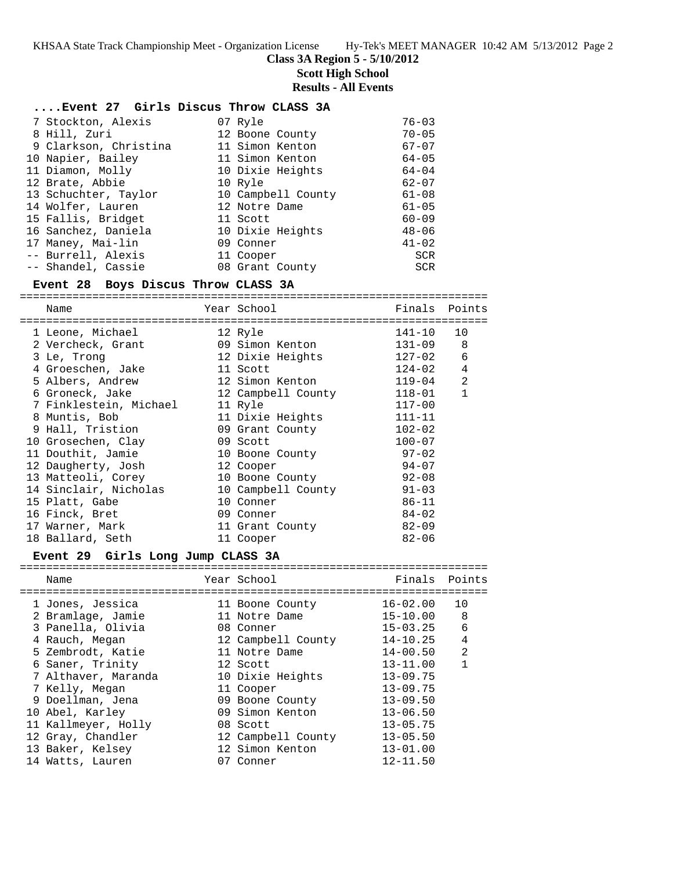KHSAA State Track Championship Meet - Organization License Hy-Tek's MEET MANAGER 10:42 AM 5/13/2012 Page 2

**Class 3A Region 5 - 5/10/2012**

**Scott High School**

**Results - All Events**

|                                                                                                                                                                                                                                                                                                                                                                                                                                                                                                                                                                                                                                                                                                                                                                                                                                                                                                           |                        | 141-10                                                                                                                                                                                                                                                                                                                                                                                                                                                                                                                                                                                                                                                                                                                                                                                      | 10                                                                                                                                                                                                                                                                                                                              |
|-----------------------------------------------------------------------------------------------------------------------------------------------------------------------------------------------------------------------------------------------------------------------------------------------------------------------------------------------------------------------------------------------------------------------------------------------------------------------------------------------------------------------------------------------------------------------------------------------------------------------------------------------------------------------------------------------------------------------------------------------------------------------------------------------------------------------------------------------------------------------------------------------------------|------------------------|---------------------------------------------------------------------------------------------------------------------------------------------------------------------------------------------------------------------------------------------------------------------------------------------------------------------------------------------------------------------------------------------------------------------------------------------------------------------------------------------------------------------------------------------------------------------------------------------------------------------------------------------------------------------------------------------------------------------------------------------------------------------------------------------|---------------------------------------------------------------------------------------------------------------------------------------------------------------------------------------------------------------------------------------------------------------------------------------------------------------------------------|
|                                                                                                                                                                                                                                                                                                                                                                                                                                                                                                                                                                                                                                                                                                                                                                                                                                                                                                           |                        | 131-09                                                                                                                                                                                                                                                                                                                                                                                                                                                                                                                                                                                                                                                                                                                                                                                      | 8                                                                                                                                                                                                                                                                                                                               |
|                                                                                                                                                                                                                                                                                                                                                                                                                                                                                                                                                                                                                                                                                                                                                                                                                                                                                                           |                        |                                                                                                                                                                                                                                                                                                                                                                                                                                                                                                                                                                                                                                                                                                                                                                                             | 6                                                                                                                                                                                                                                                                                                                               |
|                                                                                                                                                                                                                                                                                                                                                                                                                                                                                                                                                                                                                                                                                                                                                                                                                                                                                                           |                        |                                                                                                                                                                                                                                                                                                                                                                                                                                                                                                                                                                                                                                                                                                                                                                                             | $\overline{4}$                                                                                                                                                                                                                                                                                                                  |
|                                                                                                                                                                                                                                                                                                                                                                                                                                                                                                                                                                                                                                                                                                                                                                                                                                                                                                           |                        | 119-04                                                                                                                                                                                                                                                                                                                                                                                                                                                                                                                                                                                                                                                                                                                                                                                      | 2                                                                                                                                                                                                                                                                                                                               |
|                                                                                                                                                                                                                                                                                                                                                                                                                                                                                                                                                                                                                                                                                                                                                                                                                                                                                                           |                        | 118-01                                                                                                                                                                                                                                                                                                                                                                                                                                                                                                                                                                                                                                                                                                                                                                                      | $\mathbf{1}$                                                                                                                                                                                                                                                                                                                    |
|                                                                                                                                                                                                                                                                                                                                                                                                                                                                                                                                                                                                                                                                                                                                                                                                                                                                                                           |                        | $117 - 00$                                                                                                                                                                                                                                                                                                                                                                                                                                                                                                                                                                                                                                                                                                                                                                                  |                                                                                                                                                                                                                                                                                                                                 |
|                                                                                                                                                                                                                                                                                                                                                                                                                                                                                                                                                                                                                                                                                                                                                                                                                                                                                                           |                        | $111 - 11$                                                                                                                                                                                                                                                                                                                                                                                                                                                                                                                                                                                                                                                                                                                                                                                  |                                                                                                                                                                                                                                                                                                                                 |
|                                                                                                                                                                                                                                                                                                                                                                                                                                                                                                                                                                                                                                                                                                                                                                                                                                                                                                           |                        | $102 - 02$                                                                                                                                                                                                                                                                                                                                                                                                                                                                                                                                                                                                                                                                                                                                                                                  |                                                                                                                                                                                                                                                                                                                                 |
|                                                                                                                                                                                                                                                                                                                                                                                                                                                                                                                                                                                                                                                                                                                                                                                                                                                                                                           |                        | $100 - 07$                                                                                                                                                                                                                                                                                                                                                                                                                                                                                                                                                                                                                                                                                                                                                                                  |                                                                                                                                                                                                                                                                                                                                 |
|                                                                                                                                                                                                                                                                                                                                                                                                                                                                                                                                                                                                                                                                                                                                                                                                                                                                                                           |                        | $97 - 02$                                                                                                                                                                                                                                                                                                                                                                                                                                                                                                                                                                                                                                                                                                                                                                                   |                                                                                                                                                                                                                                                                                                                                 |
|                                                                                                                                                                                                                                                                                                                                                                                                                                                                                                                                                                                                                                                                                                                                                                                                                                                                                                           |                        | 94-07                                                                                                                                                                                                                                                                                                                                                                                                                                                                                                                                                                                                                                                                                                                                                                                       |                                                                                                                                                                                                                                                                                                                                 |
|                                                                                                                                                                                                                                                                                                                                                                                                                                                                                                                                                                                                                                                                                                                                                                                                                                                                                                           |                        | $92 - 08$                                                                                                                                                                                                                                                                                                                                                                                                                                                                                                                                                                                                                                                                                                                                                                                   |                                                                                                                                                                                                                                                                                                                                 |
|                                                                                                                                                                                                                                                                                                                                                                                                                                                                                                                                                                                                                                                                                                                                                                                                                                                                                                           |                        | $91 - 03$                                                                                                                                                                                                                                                                                                                                                                                                                                                                                                                                                                                                                                                                                                                                                                                   |                                                                                                                                                                                                                                                                                                                                 |
|                                                                                                                                                                                                                                                                                                                                                                                                                                                                                                                                                                                                                                                                                                                                                                                                                                                                                                           |                        | $86 - 11$                                                                                                                                                                                                                                                                                                                                                                                                                                                                                                                                                                                                                                                                                                                                                                                   |                                                                                                                                                                                                                                                                                                                                 |
|                                                                                                                                                                                                                                                                                                                                                                                                                                                                                                                                                                                                                                                                                                                                                                                                                                                                                                           |                        | $84 - 02$                                                                                                                                                                                                                                                                                                                                                                                                                                                                                                                                                                                                                                                                                                                                                                                   |                                                                                                                                                                                                                                                                                                                                 |
|                                                                                                                                                                                                                                                                                                                                                                                                                                                                                                                                                                                                                                                                                                                                                                                                                                                                                                           |                        | $82 - 09$                                                                                                                                                                                                                                                                                                                                                                                                                                                                                                                                                                                                                                                                                                                                                                                   |                                                                                                                                                                                                                                                                                                                                 |
|                                                                                                                                                                                                                                                                                                                                                                                                                                                                                                                                                                                                                                                                                                                                                                                                                                                                                                           |                        | $82 - 06$                                                                                                                                                                                                                                                                                                                                                                                                                                                                                                                                                                                                                                                                                                                                                                                   |                                                                                                                                                                                                                                                                                                                                 |
|                                                                                                                                                                                                                                                                                                                                                                                                                                                                                                                                                                                                                                                                                                                                                                                                                                                                                                           |                        |                                                                                                                                                                                                                                                                                                                                                                                                                                                                                                                                                                                                                                                                                                                                                                                             |                                                                                                                                                                                                                                                                                                                                 |
|                                                                                                                                                                                                                                                                                                                                                                                                                                                                                                                                                                                                                                                                                                                                                                                                                                                                                                           |                        |                                                                                                                                                                                                                                                                                                                                                                                                                                                                                                                                                                                                                                                                                                                                                                                             |                                                                                                                                                                                                                                                                                                                                 |
|                                                                                                                                                                                                                                                                                                                                                                                                                                                                                                                                                                                                                                                                                                                                                                                                                                                                                                           |                        |                                                                                                                                                                                                                                                                                                                                                                                                                                                                                                                                                                                                                                                                                                                                                                                             | Points                                                                                                                                                                                                                                                                                                                          |
|                                                                                                                                                                                                                                                                                                                                                                                                                                                                                                                                                                                                                                                                                                                                                                                                                                                                                                           |                        | $16 - 02.00$                                                                                                                                                                                                                                                                                                                                                                                                                                                                                                                                                                                                                                                                                                                                                                                | 10                                                                                                                                                                                                                                                                                                                              |
|                                                                                                                                                                                                                                                                                                                                                                                                                                                                                                                                                                                                                                                                                                                                                                                                                                                                                                           |                        |                                                                                                                                                                                                                                                                                                                                                                                                                                                                                                                                                                                                                                                                                                                                                                                             | 8                                                                                                                                                                                                                                                                                                                               |
|                                                                                                                                                                                                                                                                                                                                                                                                                                                                                                                                                                                                                                                                                                                                                                                                                                                                                                           |                        | $15 - 03.25$                                                                                                                                                                                                                                                                                                                                                                                                                                                                                                                                                                                                                                                                                                                                                                                | 6                                                                                                                                                                                                                                                                                                                               |
|                                                                                                                                                                                                                                                                                                                                                                                                                                                                                                                                                                                                                                                                                                                                                                                                                                                                                                           |                        |                                                                                                                                                                                                                                                                                                                                                                                                                                                                                                                                                                                                                                                                                                                                                                                             | $\overline{4}$                                                                                                                                                                                                                                                                                                                  |
|                                                                                                                                                                                                                                                                                                                                                                                                                                                                                                                                                                                                                                                                                                                                                                                                                                                                                                           |                        |                                                                                                                                                                                                                                                                                                                                                                                                                                                                                                                                                                                                                                                                                                                                                                                             | $\overline{a}$                                                                                                                                                                                                                                                                                                                  |
|                                                                                                                                                                                                                                                                                                                                                                                                                                                                                                                                                                                                                                                                                                                                                                                                                                                                                                           |                        | $13 - 11.00$                                                                                                                                                                                                                                                                                                                                                                                                                                                                                                                                                                                                                                                                                                                                                                                | $\mathbf{1}$                                                                                                                                                                                                                                                                                                                    |
|                                                                                                                                                                                                                                                                                                                                                                                                                                                                                                                                                                                                                                                                                                                                                                                                                                                                                                           |                        | $13 - 09.75$                                                                                                                                                                                                                                                                                                                                                                                                                                                                                                                                                                                                                                                                                                                                                                                |                                                                                                                                                                                                                                                                                                                                 |
|                                                                                                                                                                                                                                                                                                                                                                                                                                                                                                                                                                                                                                                                                                                                                                                                                                                                                                           |                        | $13 - 09.75$                                                                                                                                                                                                                                                                                                                                                                                                                                                                                                                                                                                                                                                                                                                                                                                |                                                                                                                                                                                                                                                                                                                                 |
|                                                                                                                                                                                                                                                                                                                                                                                                                                                                                                                                                                                                                                                                                                                                                                                                                                                                                                           |                        | $13 - 09.50$                                                                                                                                                                                                                                                                                                                                                                                                                                                                                                                                                                                                                                                                                                                                                                                |                                                                                                                                                                                                                                                                                                                                 |
|                                                                                                                                                                                                                                                                                                                                                                                                                                                                                                                                                                                                                                                                                                                                                                                                                                                                                                           |                        | $13 - 06.50$                                                                                                                                                                                                                                                                                                                                                                                                                                                                                                                                                                                                                                                                                                                                                                                |                                                                                                                                                                                                                                                                                                                                 |
|                                                                                                                                                                                                                                                                                                                                                                                                                                                                                                                                                                                                                                                                                                                                                                                                                                                                                                           |                        | $13 - 05.75$                                                                                                                                                                                                                                                                                                                                                                                                                                                                                                                                                                                                                                                                                                                                                                                |                                                                                                                                                                                                                                                                                                                                 |
| 7 Stockton, Alexis<br>8 Hill, Zuri<br>9 Clarkson, Christina<br>10 Napier, Bailey<br>11 Diamon, Molly<br>12 Brate, Abbie<br>13 Schuchter, Taylor<br>14 Wolfer, Lauren<br>15 Fallis, Bridget<br>16 Sanchez, Daniela<br>17 Maney, Mai-lin<br>-- Burrell, Alexis<br>-- Shandel, Cassie<br>Name<br>1 Leone, Michael<br>2 Vercheck, Grant<br>3 Le, Trong<br>4 Groeschen, Jake<br>5 Albers, Andrew<br>6 Groneck, Jake<br>8 Muntis, Bob<br>9 Hall, Tristion<br>10 Grosechen, Clay<br>11 Douthit, Jamie<br>12 Daugherty, Josh<br>13 Matteoli, Corey<br>14 Sinclair, Nicholas<br>15 Platt, Gabe<br>16 Finck, Bret<br>17 Warner, Mark<br>18 Ballard, Seth<br><b>Event 29</b><br>Name<br>1 Jones, Jessica<br>2 Bramlage, Jamie<br>3 Panella, Olivia<br>4 Rauch, Megan<br>5 Zembrodt, Katie<br>6 Saner, Trinity<br>7 Althaver, Maranda<br>7 Kelly, Megan<br>9 Doellman, Jena<br>10 Abel, Karley<br>11 Kallmeyer, Holly | 7 Finklestein, Michael | Event 27 Girls Discus Throw CLASS 3A<br>07 Ryle<br>12 Boone County<br>11 Simon Kenton<br>11 Simon Kenton<br>10 Dixie Heights<br>10 Ryle<br>12 Notre Dame<br>11 Scott<br>10 Dixie Heights<br>09 Conner<br>11 Cooper<br>08 Grant County<br>Event 28 Boys Discus Throw CLASS 3A<br>Year School<br>12 Ryle<br>09 Simon Kenton<br>11 Scott<br>12 Simon Kenton<br>11 Ryle<br>11 Dixie Heights<br>09 Grant County<br>09 Scott<br>10 Boone County<br>12 Cooper<br>10 Boone County<br>10 Campbell County<br>10 Conner<br>09 Conner<br>11 Grant County<br>11 Cooper<br>Girls Long Jump CLASS 3A<br>Year School<br>11 Boone County<br>11 Notre Dame<br>08 Conner<br>12 Campbell County<br>11 Notre Dame<br>12 Scott<br>10 Dixie Heights<br>11 Cooper<br>09 Boone County<br>09 Simon Kenton<br>08 Scott | $76 - 03$<br>$70 - 05$<br>$67 - 07$<br>64-05<br>$64 - 04$<br>$62 - 07$<br>10 Campbell County<br>61-08<br>$61 - 05$<br>$60 - 09$<br>$48 - 06$<br>$41 - 02$<br><b>SCR</b><br>SCR<br>Finals Points<br>12 Dixie Heights<br>$127 - 02$<br>$124 - 02$<br>12 Campbell County<br>Finals<br>$15 - 10.00$<br>$14 - 10.25$<br>$14 - 00.50$ |

 12 Gray, Chandler 12 Campbell County 13-05.50 13 Baker, Kelsey 12 Simon Kenton 13-01.00 14 Watts, Lauren 07 Conner 12-11.50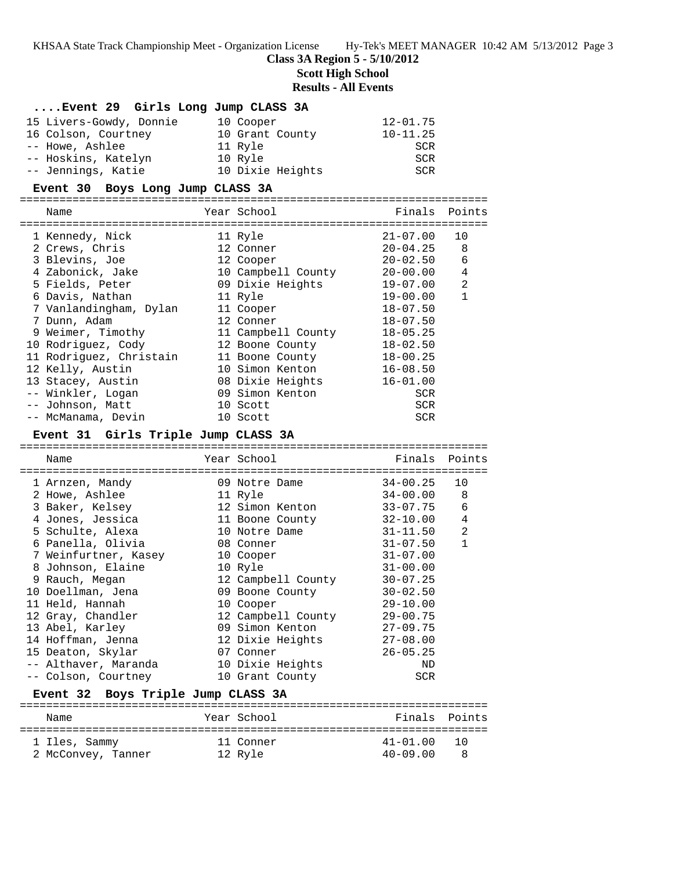**Class 3A Region 5 - 5/10/2012**

**Scott High School**

**Results - All Events**

| Event 29 Girls Long Jump CLASS 3A         |           |                                     |                              |               |
|-------------------------------------------|-----------|-------------------------------------|------------------------------|---------------|
| 15 Livers-Gowdy, Donnie                   | 10 Cooper |                                     | $12 - 01.75$                 |               |
| 16 Colson, Courtney                       |           | 10 Grant County                     | $10 - 11.25$                 |               |
| -- Howe, Ashlee                           |           | 11 Ryle                             | SCR                          |               |
| -- Hoskins, Katelyn                       |           | 10 Ryle                             | SCR                          |               |
| -- Jennings, Katie                        |           | 10 Dixie Heights                    | SCR                          |               |
| Event 30 Boys Long Jump CLASS 3A          |           |                                     |                              |               |
|                                           |           |                                     |                              |               |
| Name                                      |           | Year School                         | Finals                       | Points        |
| 1 Kennedy, Nick                           |           | 11 Ryle                             | $21 - 07.00$                 | 10            |
| 2 Crews, Chris                            |           | 12 Conner                           | $20 - 04.25$                 | 8             |
| 3 Blevins, Joe                            |           | 12 Cooper                           | 20-02.50                     | 6             |
| 4 Zabonick, Jake                          |           | 10 Campbell County 20-00.00         |                              | 4             |
| 5 Fields, Peter                           |           | 09 Dixie Heights                    | 19-07.00                     | 2             |
| 6 Davis, Nathan                           |           | 11 Ryle                             | $19 - 00.00$                 | $\mathbf{1}$  |
| 7 Vanlandingham, Dylan                    |           | 11 Cooper                           | $18 - 07.50$                 |               |
| 7 Dunn, Adam                              |           | 12 Conner                           | $18 - 07.50$                 |               |
| 9 Weimer, Timothy                         |           | 11 Campbell County                  | $18 - 05.25$                 |               |
| 10 Rodriguez, Cody                        |           | 12 Boone County                     | $18 - 02.50$                 |               |
| 11 Rodriguez, Christain                   |           | 11 Boone County                     | $18 - 00.25$                 |               |
| 12 Kelly, Austin                          |           | 10 Simon Kenton                     | $16 - 08.50$                 |               |
| 13 Stacey, Austin                         |           | 08 Dixie Heights                    | $16 - 01.00$                 |               |
| -- Winkler, Logan                         |           | 09 Simon Kenton                     | SCR                          |               |
| -- Johnson, Matt                          |           | 10 Scott                            | SCR                          |               |
| -- McManama, Devin                        |           | 10 Scott                            | <b>SCR</b>                   |               |
|                                           |           |                                     |                              |               |
| Event 31 Girls Triple Jump CLASS 3A       |           |                                     |                              |               |
|                                           |           |                                     |                              |               |
| Name                                      |           | Year School                         |                              | Finals Points |
|                                           |           |                                     |                              |               |
| 1 Arnzen, Mandy                           |           | 09 Notre Dame                       | $34 - 00.25$                 | 10            |
| 2 Howe, Ashlee                            |           | 11 Ryle                             | $34 - 00.00$                 | 8             |
| 3 Baker, Kelsey                           |           | 12 Simon Kenton                     | $33 - 07.75$                 | 6             |
| 4 Jones, Jessica                          |           | 11 Boone County                     | $32 - 10.00$                 | 4             |
| 5 Schulte, Alexa                          |           | 10 Notre Dame                       | $31 - 11.50$                 | 2             |
| 6 Panella, Olivia                         |           | 08 Conner                           | $31 - 07.50$                 | 1             |
| 7 Weinfurtner, Kasey                      |           | 10 Cooper                           | $31 - 07.00$                 |               |
| 8 Johnson, Elaine                         |           | 10 Ryle                             | $31 - 00.00$                 |               |
| 9 Rauch, Megan                            |           | 12 Campbell County                  | $30 - 07.25$                 |               |
| 10 Doellman, Jena                         |           | 09 Boone County                     | $30 - 02.50$                 |               |
| 11 Held, Hannah                           |           | 10 Cooper                           | $29 - 10.00$                 |               |
| 12 Gray, Chandler                         |           | 12 Campbell County                  | $29 - 00.75$                 |               |
| 13 Abel, Karley                           |           | 09 Simon Kenton                     | $27 - 09.75$<br>$27 - 08.00$ |               |
| 14 Hoffman, Jenna                         |           | 12 Dixie Heights<br>07 Conner       | $26 - 05.25$                 |               |
| 15 Deaton, Skylar<br>-- Althaver, Maranda |           |                                     | ND                           |               |
| -- Colson, Courtney                       |           | 10 Dixie Heights<br>10 Grant County | <b>SCR</b>                   |               |
| Event 32 Boys Triple Jump CLASS 3A        |           |                                     |                              |               |
| Name                                      |           | Year School                         | Finals                       | Points        |
|                                           |           |                                     |                              |               |
| 1 Iles, Sammy                             |           | 11 Conner                           | $41 - 01.00$                 | 10            |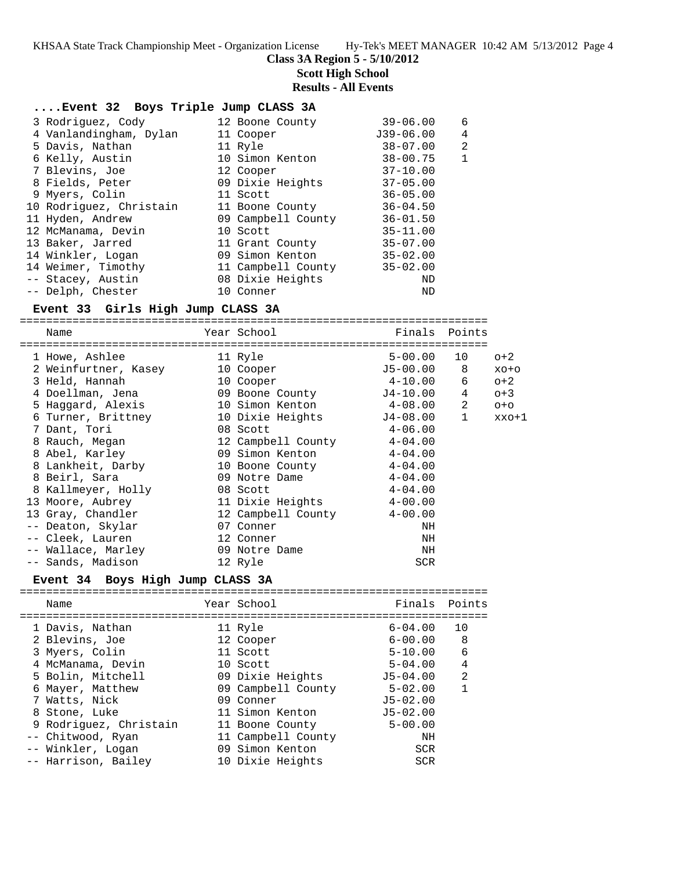KHSAA State Track Championship Meet - Organization License Hy-Tek's MEET MANAGER 10:42 AM 5/13/2012 Page 4

**Class 3A Region 5 - 5/10/2012**

## **Scott High School**

**Results - All Events**

## **....Event 32 Boys Triple Jump CLASS 3A**

| 3 Rodriguez, Cody       | 12 Boone County    | $39 - 06.00$ | 6              |
|-------------------------|--------------------|--------------|----------------|
| 4 Vanlandingham, Dylan  | 11 Cooper          | $J39-06.00$  | 4              |
| 5 Davis, Nathan         | 11 Ryle            | $38 - 07.00$ | $\overline{2}$ |
| 6 Kelly, Austin         | 10 Simon Kenton    | $38 - 00.75$ | $\mathbf{1}$   |
| 7 Blevins, Joe          | 12 Cooper          | $37 - 10.00$ |                |
| 8 Fields, Peter         | 09 Dixie Heights   | $37 - 05.00$ |                |
| 9 Myers, Colin          | 11 Scott           | $36 - 05.00$ |                |
| 10 Rodriquez, Christain | 11 Boone County    | $36 - 04.50$ |                |
| 11 Hyden, Andrew        | 09 Campbell County | $36 - 01.50$ |                |
| 12 McManama, Devin      | 10 Scott           | $35 - 11.00$ |                |
| 13 Baker, Jarred        | 11 Grant County    | $35 - 07.00$ |                |
| 14 Winkler, Logan       | 09 Simon Kenton    | $35 - 02.00$ |                |
| 14 Weimer, Timothy      | 11 Campbell County | $35 - 02.00$ |                |
| -- Stacey, Austin       | 08 Dixie Heights   | ND           |                |
| -- Delph, Chester       | 10 Conner          | ND           |                |

## **Event 33 Girls High Jump CLASS 3A**

=======================================================================

| Name                 | Year School         | Finals      | Points       |         |
|----------------------|---------------------|-------------|--------------|---------|
| 1 Howe, Ashlee       | ========<br>11 Ryle | $5 - 00.00$ | 10           | $O+2$   |
| 2 Weinfurtner, Kasey | 10 Cooper           | J5-00.00    | 8            | $XO+O$  |
| 3 Held, Hannah       | 10 Cooper           | 4-10.00     | 6            | $O+2$   |
| 4 Doellman, Jena     | 09 Boone County     | J4-10.00    | 4            | $O+3$   |
| 5 Haqqard, Alexis    | 10 Simon Kenton     | 4-08.00     | 2            | $O + O$ |
| 6 Turner, Brittney   | 10 Dixie Heights    | J4-08.00    | $\mathbf{1}$ | $xxo+1$ |
| 7 Dant, Tori         | 08 Scott            | $4 - 06.00$ |              |         |
| 8 Rauch, Megan       | 12 Campbell County  | 4-04.00     |              |         |
| 8 Abel, Karley       | 09 Simon Kenton     | $4 - 04.00$ |              |         |
| 8 Lankheit, Darby    | 10 Boone County     | $4 - 04.00$ |              |         |
| 8 Beirl, Sara        | 09 Notre Dame       | $4 - 04.00$ |              |         |
| 8 Kallmeyer, Holly   | 08 Scott            | $4 - 04.00$ |              |         |
| 13 Moore, Aubrey     | 11 Dixie Heights    | $4 - 00.00$ |              |         |
| 13 Gray, Chandler    | 12 Campbell County  | $4 - 00.00$ |              |         |
| -- Deaton, Skylar    | 07 Conner           | ΝH          |              |         |
| -- Cleek, Lauren     | 12 Conner           | ΝH          |              |         |
| -- Wallace, Marley   | 09 Notre Dame       | NH          |              |         |
| -- Sands, Madison    | 12 Ryle             | SCR         |              |         |

# **Event 34 Boys High Jump CLASS 3A**

| Name                                                                                                                                                                                                                    | Year School                                                                                                                                                                        | Finals Points                                                                                                                                              |                                                  |
|-------------------------------------------------------------------------------------------------------------------------------------------------------------------------------------------------------------------------|------------------------------------------------------------------------------------------------------------------------------------------------------------------------------------|------------------------------------------------------------------------------------------------------------------------------------------------------------|--------------------------------------------------|
| 1 Davis, Nathan<br>2 Blevins, Joe<br>3 Myers, Colin<br>4 McManama, Devin<br>5 Bolin, Mitchell<br>6 Mayer, Matthew<br>7 Watts, Nick<br>8 Stone, Luke<br>9 Rodriguez, Christain<br>-- Chitwood, Ryan<br>-- Winkler, Logan | 11 Ryle<br>12 Cooper<br>11 Scott<br>10 Scott<br>09 Dixie Heights<br>09 Campbell County<br>09 Conner<br>11 Simon Kenton<br>11 Boone County<br>11 Campbell County<br>09 Simon Kenton | $6 - 04.00$<br>$6 - 00.00$<br>$5 - 10.00$<br>$5 - 04.00$<br>$J5 - 04.00$<br>$5 - 02.00$<br>$J5 - 02.00$<br>$J5 - 02.00$<br>$5 - 00.00$<br>ΝH<br><b>SCR</b> | 10<br>8<br>6<br>$\overline{4}$<br>$\mathfrak{D}$ |
| -- Harrison, Bailey                                                                                                                                                                                                     | 10 Dixie Heights                                                                                                                                                                   | SCR                                                                                                                                                        |                                                  |
|                                                                                                                                                                                                                         |                                                                                                                                                                                    |                                                                                                                                                            |                                                  |